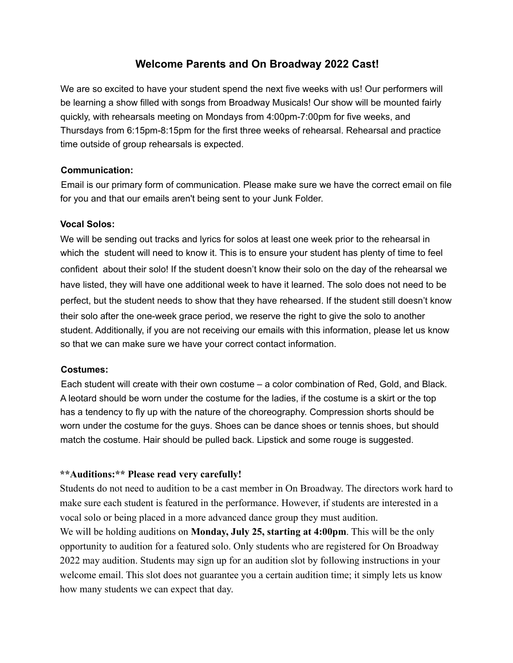# **Welcome Parents and On Broadway 2022 Cast!**

We are so excited to have your student spend the next five weeks with us! Our performers will be learning a show filled with songs from Broadway Musicals! Our show will be mounted fairly quickly, with rehearsals meeting on Mondays from 4:00pm-7:00pm for five weeks, and Thursdays from 6:15pm-8:15pm for the first three weeks of rehearsal. Rehearsal and practice time outside of group rehearsals is expected.

### **Communication:**

Email is our primary form of communication. Please make sure we have the correct email on file for you and that our emails aren't being sent to your Junk Folder.

#### **Vocal Solos:**

We will be sending out tracks and lyrics for solos at least one week prior to the rehearsal in which the student will need to know it. This is to ensure your student has plenty of time to feel confident about their solo! If the student doesn't know their solo on the day of the rehearsal we have listed, they will have one additional week to have it learned. The solo does not need to be perfect, but the student needs to show that they have rehearsed. If the student still doesn't know their solo after the one-week grace period, we reserve the right to give the solo to another student. Additionally, if you are not receiving our emails with this information, please let us know so that we can make sure we have your correct contact information.

#### **Costumes:**

Each student will create with their own costume – a color combination of Red, Gold, and Black. A leotard should be worn under the costume for the ladies, if the costume is a skirt or the top has a tendency to fly up with the nature of the choreography. Compression shorts should be worn under the costume for the guys. Shoes can be dance shoes or tennis shoes, but should match the costume. Hair should be pulled back. Lipstick and some rouge is suggested.

# **\*\*Auditions:\*\* Please read very carefully!**

Students do not need to audition to be a cast member in On Broadway. The directors work hard to make sure each student is featured in the performance. However, if students are interested in a vocal solo or being placed in a more advanced dance group they must audition.

We will be holding auditions on **Monday, July 25, starting at 4:00pm**. This will be the only opportunity to audition for a featured solo. Only students who are registered for On Broadway 2022 may audition. Students may sign up for an audition slot by following instructions in your welcome email. This slot does not guarantee you a certain audition time; it simply lets us know how many students we can expect that day.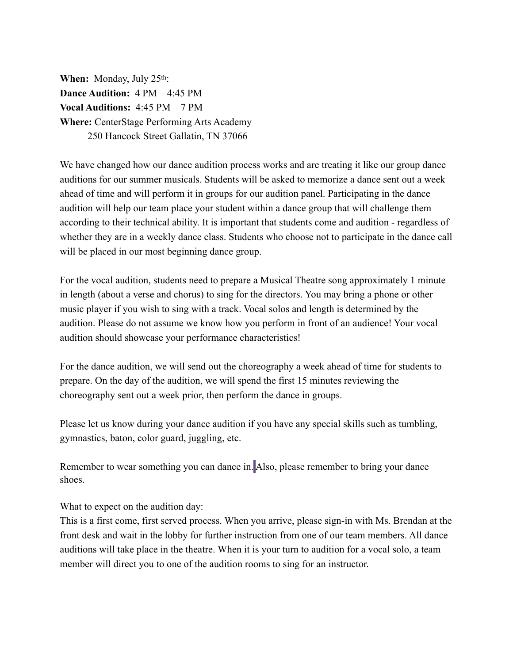**When:** Monday, July 25<sup>th</sup>: **Dance Audition:** 4 PM – 4:45 PM **Vocal Auditions:** 4:45 PM – 7 PM **Where:** CenterStage Performing Arts Academy 250 Hancock Street Gallatin, TN 37066

We have changed how our dance audition process works and are treating it like our group dance auditions for our summer musicals. Students will be asked to memorize a dance sent out a week ahead of time and will perform it in groups for our audition panel. Participating in the dance audition will help our team place your student within a dance group that will challenge them according to their technical ability. It is important that students come and audition - regardless of whether they are in a weekly dance class. Students who choose not to participate in the dance call will be placed in our most beginning dance group.

For the vocal audition, students need to prepare a Musical Theatre song approximately 1 minute in length (about a verse and chorus) to sing for the directors. You may bring a phone or other music player if you wish to sing with a track. Vocal solos and length is determined by the audition. Please do not assume we know how you perform in front of an audience! Your vocal audition should showcase your performance characteristics!

For the dance audition, we will send out the choreography a week ahead of time for students to prepare. On the day of the audition, we will spend the first 15 minutes reviewing the choreography sent out a week prior, then perform the dance in groups.

Please let us know during your dance audition if you have any special skills such as tumbling, gymnastics, baton, color guard, juggling, etc.

Remember to wear something you can dance in. Also, please remember to bring your dance shoes.

What to expect on the audition day:

This is a first come, first served process. When you arrive, please sign-in with Ms. Brendan at the front desk and wait in the lobby for further instruction from one of our team members. All dance auditions will take place in the theatre. When it is your turn to audition for a vocal solo, a team member will direct you to one of the audition rooms to sing for an instructor.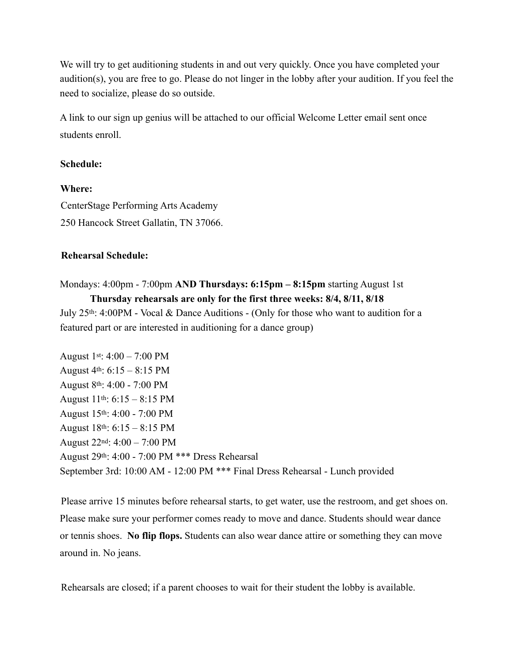We will try to get auditioning students in and out very quickly. Once you have completed your audition(s), you are free to go. Please do not linger in the lobby after your audition. If you feel the need to socialize, please do so outside.

A link to our sign up genius will be attached to our official Welcome Letter email sent once students enroll.

### **Schedule:**

**Where:**  CenterStage Performing Arts Academy 250 Hancock Street Gallatin, TN 37066.

#### **Rehearsal Schedule:**

Mondays: 4:00pm - 7:00pm **AND Thursdays: 6:15pm – 8:15pm** starting August 1st **Thursday rehearsals are only for the first three weeks: 8/4, 8/11, 8/18** July 25th: 4:00PM - Vocal & Dance Auditions - (Only for those who want to audition for a

featured part or are interested in auditioning for a dance group)

August 1st:  $4:00 - 7:00 \text{ PM}$ August  $4<sup>th</sup>$ : 6:15 – 8:15 PM August 8th: 4:00 - 7:00 PM August  $11^{th}$ :  $6:15 - 8:15$  PM August 15th: 4:00 - 7:00 PM August 18th: 6:15 – 8:15 PM August 22nd: 4:00 – 7:00 PM August 29th: 4:00 - 7:00 PM \*\*\* Dress Rehearsal September 3rd: 10:00 AM - 12:00 PM \*\*\* Final Dress Rehearsal - Lunch provided

Please arrive 15 minutes before rehearsal starts, to get water, use the restroom, and get shoes on. Please make sure your performer comes ready to move and dance. Students should wear dance or tennis shoes. **No flip flops.** Students can also wear dance attire or something they can move around in. No jeans.

Rehearsals are closed; if a parent chooses to wait for their student the lobby is available.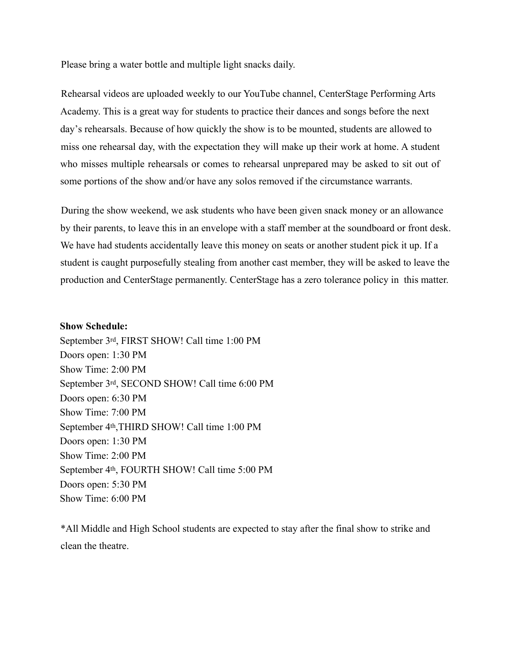Please bring a water bottle and multiple light snacks daily.

Rehearsal videos are uploaded weekly to our YouTube channel, CenterStage Performing Arts Academy. This is a great way for students to practice their dances and songs before the next day's rehearsals. Because of how quickly the show is to be mounted, students are allowed to miss one rehearsal day, with the expectation they will make up their work at home. A student who misses multiple rehearsals or comes to rehearsal unprepared may be asked to sit out of some portions of the show and/or have any solos removed if the circumstance warrants.

During the show weekend, we ask students who have been given snack money or an allowance by their parents, to leave this in an envelope with a staff member at the soundboard or front desk. We have had students accidentally leave this money on seats or another student pick it up. If a student is caught purposefully stealing from another cast member, they will be asked to leave the production and CenterStage permanently. CenterStage has a zero tolerance policy in this matter.

#### **Show Schedule:**

September 3rd, FIRST SHOW! Call time 1:00 PM Doors open: 1:30 PM Show Time: 2:00 PM September 3rd, SECOND SHOW! Call time 6:00 PM Doors open: 6:30 PM Show Time: 7:00 PM September 4th,THIRD SHOW! Call time 1:00 PM Doors open: 1:30 PM Show Time: 2:00 PM September 4th, FOURTH SHOW! Call time 5:00 PM Doors open: 5:30 PM Show Time: 6:00 PM

\*All Middle and High School students are expected to stay after the final show to strike and clean the theatre.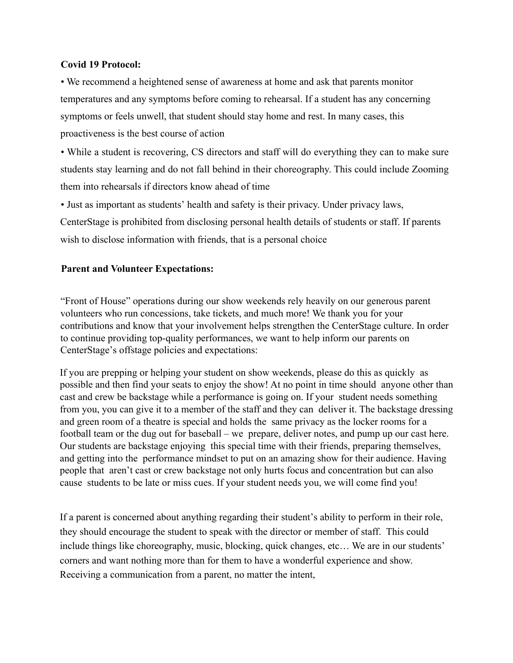### **Covid 19 Protocol:**

• We recommend a heightened sense of awareness at home and ask that parents monitor temperatures and any symptoms before coming to rehearsal. If a student has any concerning symptoms or feels unwell, that student should stay home and rest. In many cases, this proactiveness is the best course of action

• While a student is recovering, CS directors and staff will do everything they can to make sure students stay learning and do not fall behind in their choreography. This could include Zooming them into rehearsals if directors know ahead of time

• Just as important as students' health and safety is their privacy. Under privacy laws, CenterStage is prohibited from disclosing personal health details of students or staff. If parents wish to disclose information with friends, that is a personal choice

#### **Parent and Volunteer Expectations:**

"Front of House" operations during our show weekends rely heavily on our generous parent volunteers who run concessions, take tickets, and much more! We thank you for your contributions and know that your involvement helps strengthen the CenterStage culture. In order to continue providing top-quality performances, we want to help inform our parents on CenterStage's offstage policies and expectations:

If you are prepping or helping your student on show weekends, please do this as quickly as possible and then find your seats to enjoy the show! At no point in time should anyone other than cast and crew be backstage while a performance is going on. If your student needs something from you, you can give it to a member of the staff and they can deliver it. The backstage dressing and green room of a theatre is special and holds the same privacy as the locker rooms for a football team or the dug out for baseball – we prepare, deliver notes, and pump up our cast here. Our students are backstage enjoying this special time with their friends, preparing themselves, and getting into the performance mindset to put on an amazing show for their audience. Having people that aren't cast or crew backstage not only hurts focus and concentration but can also cause students to be late or miss cues. If your student needs you, we will come find you!

If a parent is concerned about anything regarding their student's ability to perform in their role, they should encourage the student to speak with the director or member of staff. This could include things like choreography, music, blocking, quick changes, etc… We are in our students' corners and want nothing more than for them to have a wonderful experience and show. Receiving a communication from a parent, no matter the intent,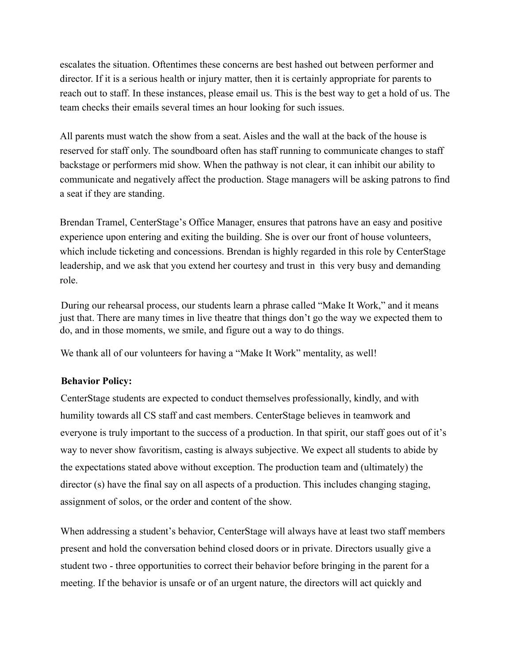escalates the situation. Oftentimes these concerns are best hashed out between performer and director. If it is a serious health or injury matter, then it is certainly appropriate for parents to reach out to staff. In these instances, please email us. This is the best way to get a hold of us. The team checks their emails several times an hour looking for such issues.

All parents must watch the show from a seat. Aisles and the wall at the back of the house is reserved for staff only. The soundboard often has staff running to communicate changes to staff backstage or performers mid show. When the pathway is not clear, it can inhibit our ability to communicate and negatively affect the production. Stage managers will be asking patrons to find a seat if they are standing.

Brendan Tramel, CenterStage's Office Manager, ensures that patrons have an easy and positive experience upon entering and exiting the building. She is over our front of house volunteers, which include ticketing and concessions. Brendan is highly regarded in this role by CenterStage leadership, and we ask that you extend her courtesy and trust in this very busy and demanding role.

During our rehearsal process, our students learn a phrase called "Make It Work," and it means just that. There are many times in live theatre that things don't go the way we expected them to do, and in those moments, we smile, and figure out a way to do things.

We thank all of our volunteers for having a "Make It Work" mentality, as well!

# **Behavior Policy:**

CenterStage students are expected to conduct themselves professionally, kindly, and with humility towards all CS staff and cast members. CenterStage believes in teamwork and everyone is truly important to the success of a production. In that spirit, our staff goes out of it's way to never show favoritism, casting is always subjective. We expect all students to abide by the expectations stated above without exception. The production team and (ultimately) the director (s) have the final say on all aspects of a production. This includes changing staging, assignment of solos, or the order and content of the show.

When addressing a student's behavior, CenterStage will always have at least two staff members present and hold the conversation behind closed doors or in private. Directors usually give a student two - three opportunities to correct their behavior before bringing in the parent for a meeting. If the behavior is unsafe or of an urgent nature, the directors will act quickly and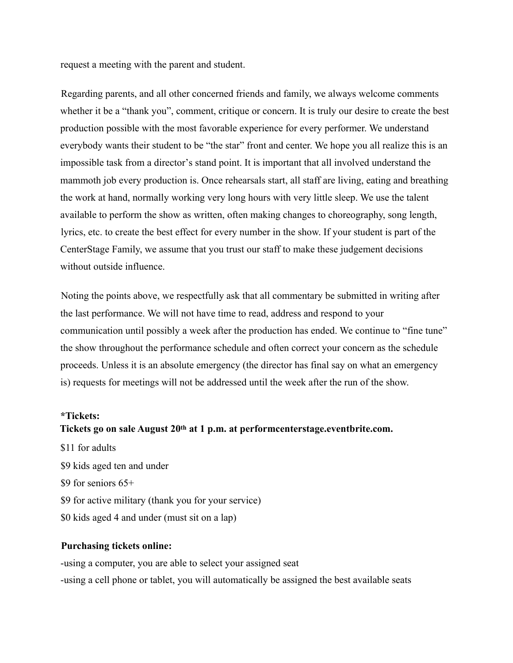request a meeting with the parent and student.

Regarding parents, and all other concerned friends and family, we always welcome comments whether it be a "thank you", comment, critique or concern. It is truly our desire to create the best production possible with the most favorable experience for every performer. We understand everybody wants their student to be "the star" front and center. We hope you all realize this is an impossible task from a director's stand point. It is important that all involved understand the mammoth job every production is. Once rehearsals start, all staff are living, eating and breathing the work at hand, normally working very long hours with very little sleep. We use the talent available to perform the show as written, often making changes to choreography, song length, lyrics, etc. to create the best effect for every number in the show. If your student is part of the CenterStage Family, we assume that you trust our staff to make these judgement decisions without outside influence.

Noting the points above, we respectfully ask that all commentary be submitted in writing after the last performance. We will not have time to read, address and respond to your communication until possibly a week after the production has ended. We continue to "fine tune" the show throughout the performance schedule and often correct your concern as the schedule proceeds. Unless it is an absolute emergency (the director has final say on what an emergency is) requests for meetings will not be addressed until the week after the run of the show.

#### **\*Tickets:**

#### **Tickets go on sale August 20th at 1 p.m. at performcenterstage.eventbrite.com.**

\$11 for adults \$9 kids aged ten and under \$9 for seniors  $65+$ \$9 for active military (thank you for your service) \$0 kids aged 4 and under (must sit on a lap)

#### **Purchasing tickets online:**

-using a computer, you are able to select your assigned seat -using a cell phone or tablet, you will automatically be assigned the best available seats